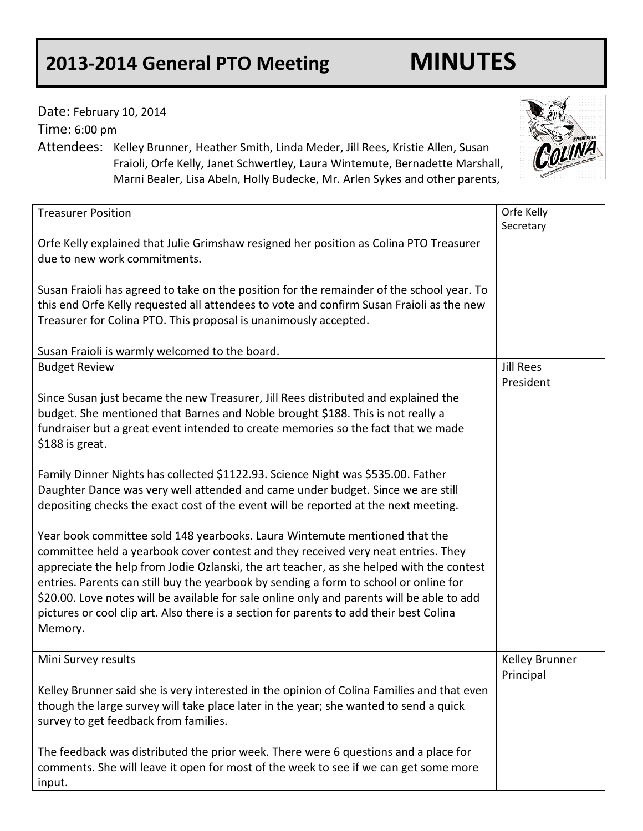## **2013-2014 General PTO Meeting MINUTES**

| Date: February 10, 2014<br>Time: 6:00 pm | Attendees: Kelley Brunner, Heather Smith, Linda Meder, Jill Rees, Kristie Allen, Susan<br>Fraioli, Orfe Kelly, Janet Schwertley, Laura Wintemute, Bernadette Marshall,<br>Marni Bealer, Lisa Abeln, Holly Budecke, Mr. Arlen Sykes and other parents,                                                                                                                                                                                                                                                                                         |                               |
|------------------------------------------|-----------------------------------------------------------------------------------------------------------------------------------------------------------------------------------------------------------------------------------------------------------------------------------------------------------------------------------------------------------------------------------------------------------------------------------------------------------------------------------------------------------------------------------------------|-------------------------------|
| <b>Treasurer Position</b>                |                                                                                                                                                                                                                                                                                                                                                                                                                                                                                                                                               | Orfe Kelly<br>Secretary       |
|                                          | Orfe Kelly explained that Julie Grimshaw resigned her position as Colina PTO Treasurer<br>due to new work commitments.                                                                                                                                                                                                                                                                                                                                                                                                                        |                               |
|                                          | Susan Fraioli has agreed to take on the position for the remainder of the school year. To<br>this end Orfe Kelly requested all attendees to vote and confirm Susan Fraioli as the new<br>Treasurer for Colina PTO. This proposal is unanimously accepted.                                                                                                                                                                                                                                                                                     |                               |
|                                          | Susan Fraioli is warmly welcomed to the board.                                                                                                                                                                                                                                                                                                                                                                                                                                                                                                |                               |
| <b>Budget Review</b>                     |                                                                                                                                                                                                                                                                                                                                                                                                                                                                                                                                               | <b>Jill Rees</b><br>President |
| \$188 is great.                          | Since Susan just became the new Treasurer, Jill Rees distributed and explained the<br>budget. She mentioned that Barnes and Noble brought \$188. This is not really a<br>fundraiser but a great event intended to create memories so the fact that we made                                                                                                                                                                                                                                                                                    |                               |
|                                          | Family Dinner Nights has collected \$1122.93. Science Night was \$535.00. Father<br>Daughter Dance was very well attended and came under budget. Since we are still<br>depositing checks the exact cost of the event will be reported at the next meeting.                                                                                                                                                                                                                                                                                    |                               |
| Memory.                                  | Year book committee sold 148 yearbooks. Laura Wintemute mentioned that the<br>committee held a yearbook cover contest and they received very neat entries. They<br>appreciate the help from Jodie Ozlanski, the art teacher, as she helped with the contest<br>entries. Parents can still buy the yearbook by sending a form to school or online for<br>\$20.00. Love notes will be available for sale online only and parents will be able to add<br>pictures or cool clip art. Also there is a section for parents to add their best Colina |                               |
| Mini Survey results                      |                                                                                                                                                                                                                                                                                                                                                                                                                                                                                                                                               | Kelley Brunner<br>Principal   |
|                                          | Kelley Brunner said she is very interested in the opinion of Colina Families and that even<br>though the large survey will take place later in the year; she wanted to send a quick<br>survey to get feedback from families.                                                                                                                                                                                                                                                                                                                  |                               |
| input.                                   | The feedback was distributed the prior week. There were 6 questions and a place for<br>comments. She will leave it open for most of the week to see if we can get some more                                                                                                                                                                                                                                                                                                                                                                   |                               |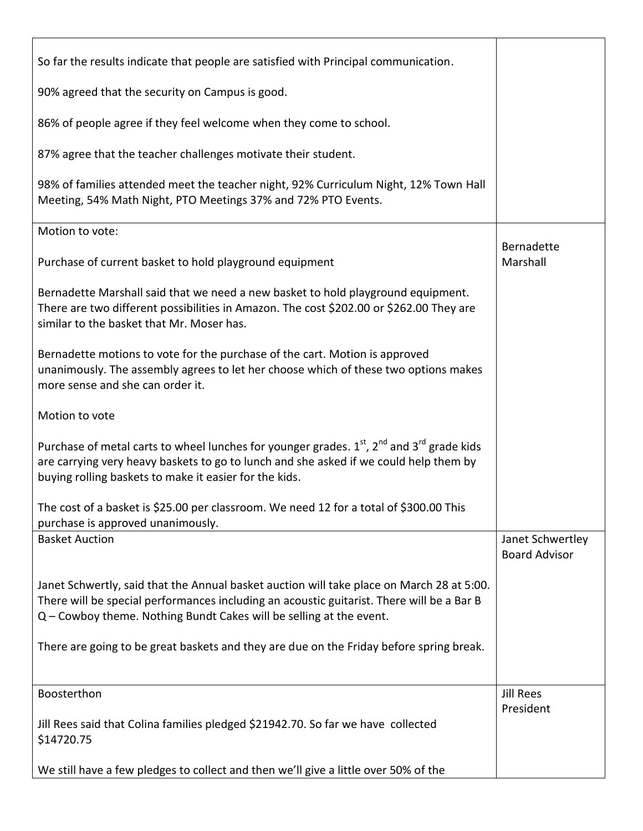| So far the results indicate that people are satisfied with Principal communication.                                                                                                                                                                           |                                          |
|---------------------------------------------------------------------------------------------------------------------------------------------------------------------------------------------------------------------------------------------------------------|------------------------------------------|
| 90% agreed that the security on Campus is good.                                                                                                                                                                                                               |                                          |
| 86% of people agree if they feel welcome when they come to school.                                                                                                                                                                                            |                                          |
| 87% agree that the teacher challenges motivate their student.                                                                                                                                                                                                 |                                          |
| 98% of families attended meet the teacher night, 92% Curriculum Night, 12% Town Hall<br>Meeting, 54% Math Night, PTO Meetings 37% and 72% PTO Events.                                                                                                         |                                          |
| Motion to vote:                                                                                                                                                                                                                                               |                                          |
| Purchase of current basket to hold playground equipment                                                                                                                                                                                                       | Bernadette<br>Marshall                   |
| Bernadette Marshall said that we need a new basket to hold playground equipment.<br>There are two different possibilities in Amazon. The cost \$202.00 or \$262.00 They are<br>similar to the basket that Mr. Moser has.                                      |                                          |
| Bernadette motions to vote for the purchase of the cart. Motion is approved<br>unanimously. The assembly agrees to let her choose which of these two options makes<br>more sense and she can order it.                                                        |                                          |
| Motion to vote                                                                                                                                                                                                                                                |                                          |
| Purchase of metal carts to wheel lunches for younger grades. $1st$ , $2nd$ and $3rd$ grade kids<br>are carrying very heavy baskets to go to lunch and she asked if we could help them by<br>buying rolling baskets to make it easier for the kids.            |                                          |
| The cost of a basket is \$25.00 per classroom. We need 12 for a total of \$300.00 This<br>purchase is approved unanimously.                                                                                                                                   |                                          |
| <b>Basket Auction</b>                                                                                                                                                                                                                                         | Janet Schwertley<br><b>Board Advisor</b> |
| Janet Schwertly, said that the Annual basket auction will take place on March 28 at 5:00.<br>There will be special performances including an acoustic guitarist. There will be a Bar B<br>Q - Cowboy theme. Nothing Bundt Cakes will be selling at the event. |                                          |
| There are going to be great baskets and they are due on the Friday before spring break.                                                                                                                                                                       |                                          |
| Boosterthon                                                                                                                                                                                                                                                   | <b>Jill Rees</b>                         |
| Jill Rees said that Colina families pledged \$21942.70. So far we have collected<br>\$14720.75                                                                                                                                                                | President                                |
| We still have a few pledges to collect and then we'll give a little over 50% of the                                                                                                                                                                           |                                          |